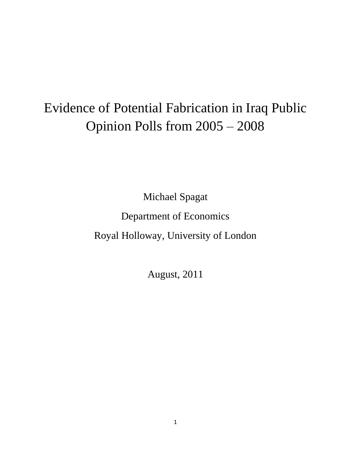# Evidence of Potential Fabrication in Iraq Public Opinion Polls from 2005 – 2008

Michael Spagat

Department of Economics

Royal Holloway, University of London

August, 2011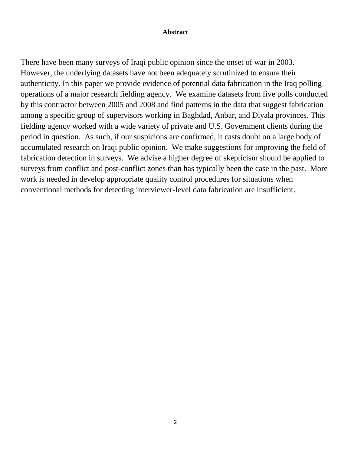#### **Abstract**

There have been many surveys of Iraqi public opinion since the onset of war in 2003. However, the underlying datasets have not been adequately scrutinized to ensure their authenticity. In this paper we provide evidence of potential data fabrication in the Iraq polling operations of a major research fielding agency. We examine datasets from five polls conducted by this contractor between 2005 and 2008 and find patterns in the data that suggest fabrication among a specific group of supervisors working in Baghdad, Anbar, and Diyala provinces. This fielding agency worked with a wide variety of private and U.S. Government clients during the period in question. As such, if our suspicions are confirmed, it casts doubt on a large body of accumulated research on Iraqi public opinion. We make suggestions for improving the field of fabrication detection in surveys. We advise a higher degree of skepticism should be applied to surveys from conflict and post-conflict zones than has typically been the case in the past. More work is needed in develop appropriate quality control procedures for situations when conventional methods for detecting interviewer-level data fabrication are insufficient.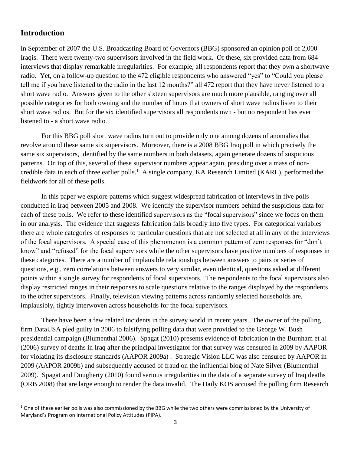# **Introduction**

 $\overline{a}$ 

In September of 2007 the U.S. Broadcasting Board of Governors (BBG) sponsored an opinion poll of 2,000 Iraqis. There were twenty-two supervisors involved in the field work. Of these, six provided data from 684 interviews that display remarkable irregularities. For example, all respondents report that they own a shortwave radio. Yet, on a follow-up question to the 472 eligible respondents who answered "yes" to "Could you please tell me if you have listened to the radio in the last 12 months?" all 472 report that they have never listened to a short wave radio. Answers given to the other sixteen supervisors are much more plausible, ranging over all possible categories for both owning and the number of hours that owners of short wave radios listen to their short wave radios. But for the six identified supervisors all respondents own - but no respondent has ever listened to - a short wave radio.

For this BBG poll short wave radios turn out to provide only one among dozens of anomalies that revolve around these same six supervisors. Moreover, there is a 2008 BBG Iraq poll in which precisely the same six supervisors, identified by the same numbers in both datasets, again generate dozens of suspicious patterns. On top of this, several of these supervisor numbers appear again, presiding over a mass of noncredible data in each of three earlier polls.<sup>1</sup> A single company, KA Research Limited (KARL), performed the fieldwork for all of these polls.

In this paper we explore patterns which suggest widespread fabrication of interviews in five polls conducted in Iraq between 2005 and 2008. We identify the supervisor numbers behind the suspicious data for each of these polls. We refer to these identified supervisors as the "focal supervisors" since we focus on them in our analysis. The evidence that suggests fabrication falls broadly into five types. For categorical variables there are whole categories of responses to particular questions that are not selected at all in any of the interviews of the focal supervisors. A special case of this phenomenon is a common pattern of zero responses for "don't know" and "refused" for the focal supervisors while the other supervisors have positive numbers of responses in these categories. There are a number of implausible relationships between answers to pairs or series of questions, e.g., zero correlations between answers to very similar, even identical, questions asked at different points within a single survey for respondents of focal supervisors. The respondents to the focal supervisors also display restricted ranges in their responses to scale questions relative to the ranges displayed by the respondents to the other supervisors. Finally, television viewing patterns across randomly selected households are, implausibly, tightly interwoven across households for the focal supervisors.

There have been a few related incidents in the survey world in recent years. The owner of the polling firm DataUSA pled guilty in 2006 to falsifying polling data that were provided to the George W. Bush presidential campaign (Blumenthal 2006). Spagat (2010) presents evidence of fabrication in the Burnham et al. (2006) survey of deaths in Iraq after the principal investigator for that survey was censured in 2009 by AAPOR for violating its disclosure standards (AAPOR 2009a) . Strategic Vision LLC was also censured by AAPOR in 2009 (AAPOR 2009b) and subsequently accused of fraud on the influential blog of Nate Silver (Blumenthal 2009). Spagat and Dougherty (2010) found serious irregularities in the data of a separate survey of Iraq deaths (ORB 2008) that are large enough to render the data invalid. The Daily KOS accused the polling firm Research

 $1$  One of these earlier polls was also commissioned by the BBG while the two others were commissioned by the University of Maryland's Program on International Policy Attitudes (PIPA).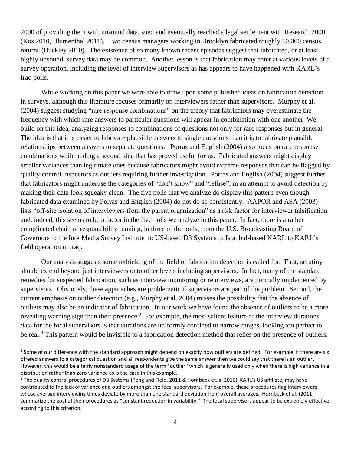2000 of providing them with unsound data, sued and eventually reached a legal settlement with Research 2000 (Kos 2010, Blumenthal 2011). Two census managers working in Brooklyn fabricated roughly 10,000 census returns (Buckley 2010). The existence of so many known recent episodes suggest that fabricated, or at least highly unsound, survey data may be common. Another lesson is that fabrication may enter at various levels of a survey operation, including the level of interview supervisors as has appears to have happened with KARL's Iraq polls.

While working on this paper we were able to draw upon some published ideas on fabrication detection in surveys, although this literature focuses primarily on interviewers rather than supervisors. Murphy et al. (2004) suggest studying "rare response combinations" on the theory that fabricators may overestimate the frequency with which rare answers to particular questions will appear in combination with one another We build on this idea, analyzing responses to combinations of questions not only for rare responses but in general. The idea is that it is easier to fabricate plausible answers to single questions than it is to fabricate plausible relationships between answers to separate questions. Porras and English (2004) also focus on rare response combinations while adding a second idea that has proved useful for us. Fabricated answers might display smaller variances than legitimate ones because fabricators might avoid extreme responses that can be flagged by quality-control inspectors as outliers requiring further investigation. Porras and English (2004) suggest further that fabricators might underuse the categories of "don't know" and "refuse", in an attempt to avoid detection by making their data look squeaky clean. The five polls that we analyze do display this pattern even though fabricated data examined by Porras and English (2004) do not do so consistently. AAPOR and ASA (2003) lists "off-site isolation of interviewers from the parent organization" as a risk factor for interviewer falsification and, indeed, this seems to be a factor in the five polls we analyze in this paper. In fact, there is a rather complicated chain of responsibility running, in three of the polls, from the U.S. Broadcasting Board of Governors to the InterMedia Survey Institute to US-based D3 Systems to Istanbul-based KARL to KARL's field operation in Iraq.

Our analysis suggests some rethinking of the field of fabrication detection is called for. First, scrutiny should extend beyond just interviewers onto other levels including supervisors. In fact, many of the standard remedies for suspected fabrication, such as interview monitoring or reinterviews, are normally implemented by supervisors. Obviously, these approaches are problematic if supervisors are part of the problem. Second, the current emphasis on outlier detection (e.g., Murphy et al. 2004) misses the possibility that the absence of outliers may also be an indicator of fabrication. In our work we have found the absence of outliers to be a more revealing warning sign than their presence.<sup>2</sup> For example, the most salient feature of the interview durations data for the focal supervisors is that durations are uniformly confined to narrow ranges, looking too perfect to be real.<sup>3</sup> This pattern would be invisible to a fabrication detection method that relies on the presence of outliers.

 $\overline{\phantom{a}}$ 

<sup>&</sup>lt;sup>2</sup> Some of our difference with the standard approach might depend on exactly how outliers are defined. For example, if there are six offered answers to a categorical question and all respondents give the same answer then we could say that there is an outlier. However, this would be a fairly nonstandard usage of the term "outlier" which is generally used only when there is high variance in a distribution rather than zero variance as is the case in this example.

<sup>&</sup>lt;sup>3</sup> The quality control procedures of D3 Systems (Peng and Field, 2011 & Hornbeck et. al 2010), KARL's US affiliate, may have contributed to the lack of variance and outliers amongst the focal supervisors. For example, these procedures flag interviewers whose average interviewing times deviate by more than one standard deviation from overall averages. Hornbeck et al. (2011) summarize the goal of their procedures as "constant reduction in variability." The focal supervisors appear to be extremely effective according to this criterion.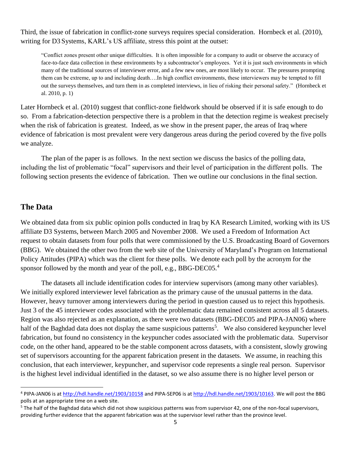Third, the issue of fabrication in conflict-zone surveys requires special consideration. Hornbeck et al. (2010), writing for D3 Systems, KARL's US affiliate, stress this point at the outset:

"Conflict zones present other unique difficulties. It is often impossible for a company to audit or observe the accuracy of face-to-face data collection in these environments by a subcontractor's employees. Yet it is just such environments in which many of the traditional sources of interviewer error, and a few new ones, are most likely to occur. The pressures prompting them can be extreme, up to and including death….In high conflict environments, these interviewers may be tempted to fill out the surveys themselves, and turn them in as completed interviews, in lieu of risking their personal safety." (Hornbeck et al. 2010, p. 1)

Later Hornbeck et al. (2010) suggest that conflict-zone fieldwork should be observed if it is safe enough to do so. From a fabrication-detection perspective there is a problem in that the detection regime is weakest precisely when the risk of fabrication is greatest. Indeed, as we show in the present paper, the areas of Iraq where evidence of fabrication is most prevalent were very dangerous areas during the period covered by the five polls we analyze.

The plan of the paper is as follows. In the next section we discuss the basics of the polling data, including the list of problematic "focal" supervisors and their level of participation in the different polls. The following section presents the evidence of fabrication. Then we outline our conclusions in the final section.

# **The Data**

 $\overline{\phantom{a}}$ 

We obtained data from six public opinion polls conducted in Iraq by KA Research Limited, working with its US affiliate D3 Systems, between March 2005 and November 2008. We used a Freedom of Information Act request to obtain datasets from four polls that were commissioned by the U.S. Broadcasting Board of Governors (BBG). We obtained the other two from the web site of the University of Maryland's Program on International Policy Attitudes (PIPA) which was the client for these polls. We denote each poll by the acronym for the sponsor followed by the month and year of the poll, e.g., BBG-DEC05.<sup>4</sup>

The datasets all include identification codes for interview supervisors (among many other variables). We initially explored interviewer level fabrication as the primary cause of the unusual patterns in the data. However, heavy turnover among interviewers during the period in question caused us to reject this hypothesis. Just 3 of the 45 interviewer codes associated with the problematic data remained consistent across all 5 datasets. Region was also rejected as an explanation, as there were two datasets (BBG-DEC05 and PIPA-JAN06) where half of the Baghdad data does not display the same suspicious patterns<sup>5</sup>. We also considered keypuncher level fabrication, but found no consistency in the keypuncher codes associated with the problematic data. Supervisor code, on the other hand, appeared to be the stable component across datasets, with a consistent, slowly growing set of supervisors accounting for the apparent fabrication present in the datasets. We assume, in reaching this conclusion, that each interviewer, keypuncher, and supervisor code represents a single real person. Supervisor is the highest level individual identified in the dataset, so we also assume there is no higher level person or

<sup>&</sup>lt;sup>4</sup> PIPA-JAN06 is at<http://hdl.handle.net/1903/10158> and PIPA-SEP06 is a[t http://hdl.handle.net/1903/10163.](http://hdl.handle.net/1903/10163) We will post the BBG polls at an appropriate time on a web site.

<sup>&</sup>lt;sup>5</sup> The half of the Baghdad data which did not show suspicious patterns was from supervisor 42, one of the non-focal supervisors, providing further evidence that the apparent fabrication was at the supervisor level rather than the province level.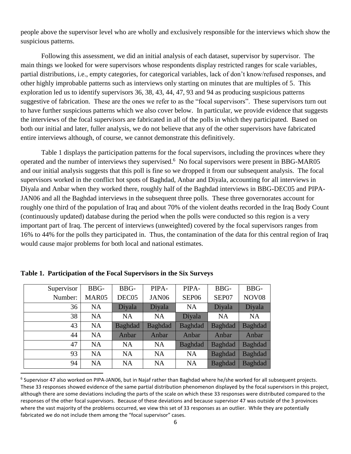people above the supervisor level who are wholly and exclusively responsible for the interviews which show the suspicious patterns.

Following this assessment, we did an initial analysis of each dataset, supervisor by supervisor. The main things we looked for were supervisors whose respondents display restricted ranges for scale variables, partial distributions, i.e., empty categories, for categorical variables, lack of don't know/refused responses, and other highly improbable patterns such as interviews only starting on minutes that are multiples of 5. This exploration led us to identify supervisors 36, 38, 43, 44, 47, 93 and 94 as producing suspicious patterns suggestive of fabrication. These are the ones we refer to as the "focal supervisors". These supervisors turn out to have further suspicious patterns which we also cover below. In particular, we provide evidence that suggests the interviews of the focal supervisors are fabricated in all of the polls in which they participated. Based on both our initial and later, fuller analysis, we do not believe that any of the other supervisors have fabricated entire interviews although, of course, we cannot demonstrate this definitively.

Table 1 displays the participation patterns for the focal supervisors, including the provinces where they operated and the number of interviews they supervised.<sup>6</sup> No focal supervisors were present in BBG-MAR05 and our initial analysis suggests that this poll is fine so we dropped it from our subsequent analysis. The focal supervisors worked in the conflict hot spots of Baghdad, Anbar and Diyala, accounting for all interviews in Diyala and Anbar when they worked there, roughly half of the Baghdad interviews in BBG-DEC05 and PIPA-JAN06 and all the Baghdad interviews in the subsequent three polls. These three governorates account for roughly one third of the population of Iraq and about 70% of the violent deaths recorded in the Iraq Body Count (continuously updated) database during the period when the polls were conducted so this region is a very important part of Iraq. The percent of interviews (unweighted) covered by the focal supervisors ranges from 16% to 44% for the polls they participated in. Thus, the contamination of the data for this central region of Iraq would cause major problems for both local and national estimates.

| Supervisor | BBG-              | BBG-           | PIPA-             | PIPA-             | BBG-           | BBG-              |
|------------|-------------------|----------------|-------------------|-------------------|----------------|-------------------|
| Number:    | MAR <sub>05</sub> | DEC05          | JAN <sub>06</sub> | SEP <sub>06</sub> |                | NOV <sub>08</sub> |
| 36         | <b>NA</b>         | Diyala         | Diyala            | <b>NA</b>         |                | Diyala            |
| 38         | <b>NA</b>         | <b>NA</b>      | <b>NA</b>         | Diyala            | <b>NA</b>      | <b>NA</b>         |
| 43         | <b>NA</b>         | <b>Baghdad</b> | <b>Baghdad</b>    | <b>Baghdad</b>    | <b>Baghdad</b> | Baghdad           |
| 44         | <b>NA</b>         | Anbar          | Anbar             | Anbar             | Anbar          | Anbar             |
| 47         | <b>NA</b>         | <b>NA</b>      | <b>NA</b>         | <b>Baghdad</b>    | <b>Baghdad</b> | <b>Baghdad</b>    |
| 93         | <b>NA</b>         | <b>NA</b>      | <b>NA</b>         | <b>NA</b>         | <b>Baghdad</b> | Baghdad           |
| 94         | <b>NA</b>         | <b>NA</b>      | <b>NA</b>         | <b>NA</b>         | Baghdad        | Baghdad           |

**Table 1. Participation of the Focal Supervisors in the Six Surveys**

 $\overline{a}$ 

<sup>&</sup>lt;sup>6</sup> Supervisor 47 also worked on PIPA-JAN06, but in Najaf rather than Baghdad where he/she worked for all subsequent projects. These 33 responses showed evidence of the same partial distribution phenomenon displayed by the focal supervisors in this project, although there are some deviations including the parts of the scale on which these 33 responses were distributed compared to the responses of the other focal supervisors. Because of these deviations and because supervisor 47 was outside of the 3 provinces where the vast majority of the problems occurred, we view this set of 33 responses as an outlier. While they are potentially fabricated we do not include them among the "focal supervisor" cases.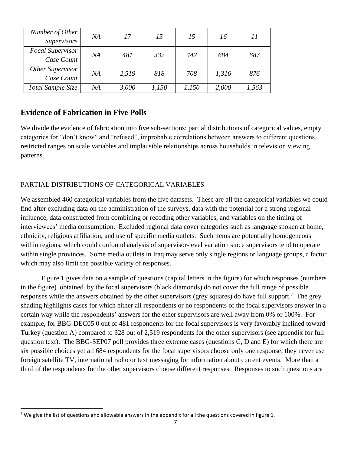| Number of Other<br><b>Supervisors</b> | NA | 17    | 15    | 15    | 16    | 11    |
|---------------------------------------|----|-------|-------|-------|-------|-------|
| <b>Focal Supervisor</b><br>Case Count | NΑ | 481   | 332   | 442   | 684   | 687   |
| Other Supervisor<br>Case Count        | NΑ | 2,519 | 818   | 708   | 1,316 | 876   |
| Total Sample Size                     | NΑ | 3,000 | 1,150 | 1,150 | 2,000 | 1,563 |

# **Evidence of Fabrication in Five Polls**

 $\overline{\phantom{a}}$ 

We divide the evidence of fabrication into five sub-sections: partial distributions of categorical values, empty categories for "don't know" and "refused", improbable correlations between answers to different questions, restricted ranges on scale variables and implausible relationships across households in television viewing patterns.

# PARTIAL DISTRIBUTIONS OF CATEGORICAL VARIABLES

We assembled 460 categorical variables from the five datasets. These are all the categorical variables we could find after excluding data on the administration of the surveys, data with the potential for a strong regional influence, data constructed from combining or recoding other variables, and variables on the timing of interviewees' media consumption. Excluded regional data cover categories such as language spoken at home, ethnicity, religious affiliation, and use of specific media outlets. Such items are potentially homogeneous within regions, which could confound analysis of supervisor-level variation since supervisors tend to operate within single provinces. Some media outlets in Iraq may serve only single regions or language groups, a factor which may also limit the possible variety of responses.

Figure 1 gives data on a sample of questions (capital letters in the figure) for which responses (numbers in the figure) obtained by the focal supervisors (black diamonds) do not cover the full range of possible responses while the answers obtained by the other supervisors (grey squares) do have full support.<sup>7</sup> The grey shading highlights cases for which either all respondents or no respondents of the focal supervisors answer in a certain way while the respondents' answers for the other supervisors are well away from 0% or 100%. For example, for BBG-DEC05 0 out of 481 respondents for the focal supervisors is very favorably inclined toward Turkey (question A) compared to 328 out of 2,519 respondents for the other supervisors (see appendix for full question text). The BBG-SEP07 poll provides three extreme cases (questions C, D and E) for which there are six possible choices yet all 684 respondents for the focal supervisors choose only one response; they never use foreign satellite TV, international radio or text messaging for information about current events. More than a third of the respondents for the other supervisors choose different responses. Responses to such questions are

<sup>&</sup>lt;sup>7</sup> We give the list of questions and allowable answers in the appendix for all the questions covered in figure 1.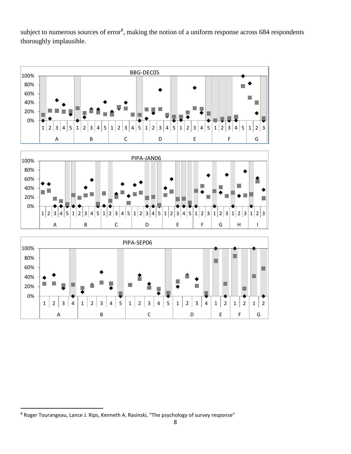subject to numerous sources of error<sup>8</sup>, making the notion of a uniform response across  $684$  respondents thoroughly implausible.







 $\overline{\phantom{a}}$ 

 $8$  Roger Tourangeau, Lance J. Rips, Kenneth A. Rasinski, "The psychology of survey response"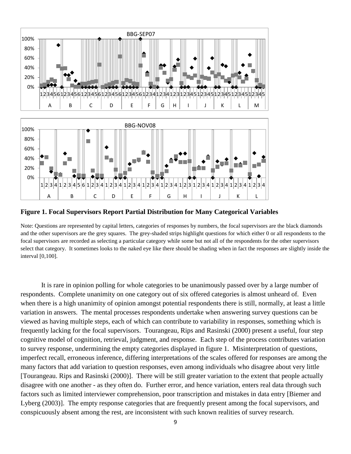

**Figure 1. Focal Supervisors Report Partial Distribution for Many Categorical Variables**

Note: Questions are represented by capital letters, categories of responses by numbers, the focal supervisors are the black diamonds and the other supervisors are the grey squares. The grey-shaded strips highlight questions for which either 0 or all respondents to the focal supervisors are recorded as selecting a particular category while some but not all of the respondents for the other supervisors select that category. It sometimes looks to the naked eye like there should be shading when in fact the responses are slightly inside the interval [0,100].

It is rare in opinion polling for whole categories to be unanimously passed over by a large number of respondents. Complete unanimity on one category out of six offered categories is almost unheard of. Even when there is a high unanimity of opinion amongst potential respondents there is still, normally, at least a little variation in answers. The mental processes respondents undertake when answering survey questions can be viewed as having multiple steps, each of which can contribute to variability in responses, something which is frequently lacking for the focal supervisors. Tourangeau, Rips and Rasinski (2000) present a useful, four step cognitive model of cognition, retrieval, judgment, and response. Each step of the process contributes variation to survey response, undermining the empty categories displayed in figure 1. Misinterpretation of questions, imperfect recall, erroneous inference, differing interpretations of the scales offered for responses are among the many factors that add variation to question responses, even among individuals who disagree about very little [Tourangeau. Rips and Rasinski (2000)]. There will be still greater variation to the extent that people actually disagree with one another - as they often do. Further error, and hence variation, enters real data through such factors such as limited interviewer comprehension, poor transcription and mistakes in data entry [Biemer and Lyberg (2003)]. The empty response categories that are frequently present among the focal supervisors, and conspicuously absent among the rest, are inconsistent with such known realities of survey research.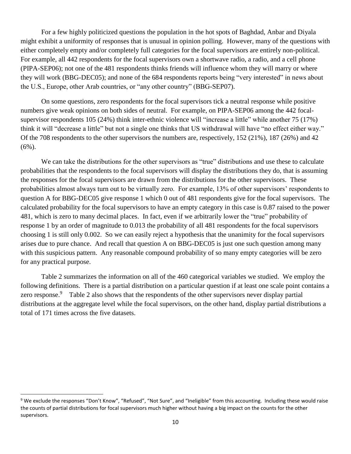For a few highly politicized questions the population in the hot spots of Baghdad, Anbar and Diyala might exhibit a uniformity of responses that is unusual in opinion polling. However, many of the questions with either completely empty and/or completely full categories for the focal supervisors are entirely non-political. For example, all 442 respondents for the focal supervisors own a shortwave radio, a radio, and a cell phone (PIPA-SEP06); not one of the 481 respondents thinks friends will influence whom they will marry or where they will work (BBG-DEC05); and none of the 684 respondents reports being "very interested" in news about the U.S., Europe, other Arab countries, or "any other country" (BBG-SEP07).

On some questions, zero respondents for the focal supervisors tick a neutral response while positive numbers give weak opinions on both sides of neutral. For example, on PIPA-SEP06 among the 442 focalsupervisor respondents 105 (24%) think inter-ethnic violence will "increase a little" while another 75 (17%) think it will "decrease a little" but not a single one thinks that US withdrawal will have "no effect either way." Of the 708 respondents to the other supervisors the numbers are, respectively, 152 (21%), 187 (26%) and 42  $(6\%)$ .

We can take the distributions for the other supervisors as "true" distributions and use these to calculate probabilities that the respondents to the focal supervisors will display the distributions they do, that is assuming the responses for the focal supervisors are drawn from the distributions for the other supervisors. These probabilities almost always turn out to be virtually zero. For example, 13% of other supervisors' respondents to question A for BBG-DEC05 give response 1 which 0 out of 481 respondents give for the focal supervisors. The calculated probability for the focal supervisors to have an empty category in this case is 0.87 raised to the power 481, which is zero to many decimal places. In fact, even if we arbitrarily lower the "true" probability of response 1 by an order of magnitude to 0.013 the probability of all 481 respondents for the focal supervisors choosing 1 is still only 0.002. So we can easily reject a hypothesis that the unanimity for the focal supervisors arises due to pure chance. And recall that question A on BBG-DEC05 is just one such question among many with this suspicious pattern. Any reasonable compound probability of so many empty categories will be zero for any practical purpose.

Table 2 summarizes the information on all of the 460 categorical variables we studied. We employ the following definitions. There is a partial distribution on a particular question if at least one scale point contains a zero response.<sup>9</sup> Table 2 also shows that the respondents of the other supervisors never display partial distributions at the aggregate level while the focal supervisors, on the other hand, display partial distributions a total of 171 times across the five datasets.

 $\overline{\phantom{a}}$ 

<sup>&</sup>lt;sup>9</sup> We exclude the responses "Don't Know", "Refused", "Not Sure", and "Ineligible" from this accounting. Including these would raise the counts of partial distributions for focal supervisors much higher without having a big impact on the counts for the other supervisors.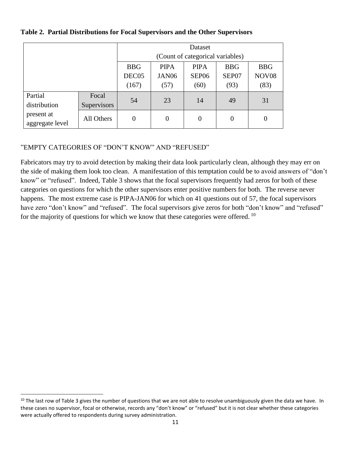|                               |             | Dataset                          |                   |             |                   |            |  |
|-------------------------------|-------------|----------------------------------|-------------------|-------------|-------------------|------------|--|
|                               |             | (Count of categorical variables) |                   |             |                   |            |  |
|                               |             | <b>BBG</b>                       | <b>PIPA</b>       | <b>PIPA</b> | <b>BBG</b>        | <b>BBG</b> |  |
|                               | DEC05       | JAN <sub>06</sub>                | SEP <sub>06</sub> | SEP07       | NOV <sub>08</sub> |            |  |
|                               | (167)       | (57)                             | (60)              | (93)        | (83)              |            |  |
| Partial                       | Focal       | 54                               | 23                | 14          | 49                | 31         |  |
| distribution                  | Supervisors |                                  |                   |             |                   |            |  |
| present at<br>aggregate level | All Others  | 0                                | $\overline{0}$    | $\theta$    | 0                 | 0          |  |

#### **Table 2. Partial Distributions for Focal Supervisors and the Other Supervisors**

# "EMPTY CATEGORIES OF "DON'T KNOW" AND "REFUSED"

 $\overline{\phantom{a}}$ 

Fabricators may try to avoid detection by making their data look particularly clean, although they may err on the side of making them look too clean. A manifestation of this temptation could be to avoid answers of "don't know" or "refused". Indeed, Table 3 shows that the focal supervisors frequently had zeros for both of these categories on questions for which the other supervisors enter positive numbers for both. The reverse never happens. The most extreme case is PIPA-JAN06 for which on 41 questions out of 57, the focal supervisors have zero "don't know" and "refused". The focal supervisors give zeros for both "don't know" and "refused" for the majority of questions for which we know that these categories were offered.  $10$ 

 $10$  The last row of Table 3 gives the number of questions that we are not able to resolve unambiguously given the data we have. In these cases no supervisor, focal or otherwise, records any "don't know" or "refused" but it is not clear whether these categories were actually offered to respondents during survey administration.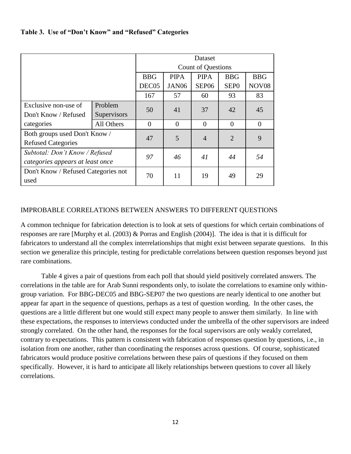#### **Table 3. Use of "Don't Know" and "Refused" Categories**

|                                     |             |                           |                   | Dataset           |                  |                |  |
|-------------------------------------|-------------|---------------------------|-------------------|-------------------|------------------|----------------|--|
|                                     |             | <b>Count of Questions</b> |                   |                   |                  |                |  |
|                                     |             | <b>BBG</b>                | <b>PIPA</b>       | <b>PIPA</b>       | <b>BBG</b>       | <b>BBG</b>     |  |
|                                     |             | DEC05                     | JAN <sub>06</sub> | SEP <sub>06</sub> | SEP <sub>0</sub> | <b>NOV08</b>   |  |
|                                     |             | 167                       | 57                | 60                | 93               | 83             |  |
| Exclusive non-use of                | Problem     | 50                        | 41                | 37                | 42               | 45             |  |
| Don't Know / Refused                | Supervisors |                           |                   |                   |                  |                |  |
| categories                          | All Others  | $\overline{0}$            | $\overline{0}$    | $\theta$          | $\theta$         | $\overline{0}$ |  |
| Both groups used Don't Know /       |             | 47                        | 5                 | $\overline{4}$    | $\overline{2}$   | 9              |  |
| <b>Refused Categories</b>           |             |                           |                   |                   |                  |                |  |
| Subtotal: Don't Know / Refused      |             | 97                        | 46                | 41                | 44               | 54             |  |
| categories appears at least once    |             |                           |                   |                   |                  |                |  |
| Don't Know / Refused Categories not |             | 70                        | 11                | 19                | 49               | 29             |  |
| used                                |             |                           |                   |                   |                  |                |  |

#### IMPROBABLE CORRELATIONS BETWEEN ANSWERS TO DIFFERENT QUESTIONS

A common technique for fabrication detection is to look at sets of questions for which certain combinations of responses are rare [Murphy et al. (2003) & Porras and English (2004)]. The idea is that it is difficult for fabricators to understand all the complex interrelationships that might exist between separate questions. In this section we generalize this principle, testing for predictable correlations between question responses beyond just rare combinations.

Table 4 gives a pair of questions from each poll that should yield positively correlated answers. The correlations in the table are for Arab Sunni respondents only, to isolate the correlations to examine only withingroup variation. For BBG-DEC05 and BBG-SEP07 the two questions are nearly identical to one another but appear far apart in the sequence of questions, perhaps as a test of question wording. In the other cases, the questions are a little different but one would still expect many people to answer them similarly. In line with these expectations, the responses to interviews conducted under the umbrella of the other supervisors are indeed strongly correlated. On the other hand, the responses for the focal supervisors are only weakly correlated, contrary to expectations. This pattern is consistent with fabrication of responses question by questions, i.e., in isolation from one another, rather than coordinating the responses across questions. Of course, sophisticated fabricators would produce positive correlations between these pairs of questions if they focused on them specifically. However, it is hard to anticipate all likely relationships between questions to cover all likely correlations.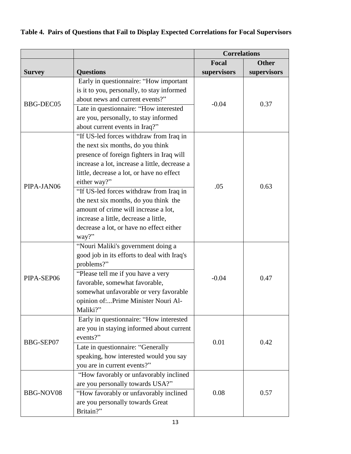# **Table 4. Pairs of Questions that Fail to Display Expected Correlations for Focal Supervisors**

|                  |                                                                                                                                                                                                                                                                                    | <b>Correlations</b> |              |  |
|------------------|------------------------------------------------------------------------------------------------------------------------------------------------------------------------------------------------------------------------------------------------------------------------------------|---------------------|--------------|--|
|                  |                                                                                                                                                                                                                                                                                    | Focal               | <b>Other</b> |  |
| <b>Survey</b>    | <b>Questions</b>                                                                                                                                                                                                                                                                   | supervisors         | supervisors  |  |
| <b>BBG-DEC05</b> | Early in questionnaire: "How important<br>is it to you, personally, to stay informed<br>about news and current events?"<br>Late in questionnaire: "How interested<br>are you, personally, to stay informed<br>about current events in Iraq?"                                       | $-0.04$             | 0.37         |  |
| PIPA-JAN06       | "If US-led forces withdraw from Iraq in<br>the next six months, do you think<br>presence of foreign fighters in Iraq will<br>increase a lot, increase a little, decrease a<br>little, decrease a lot, or have no effect<br>either way?"<br>"If US-led forces withdraw from Iraq in | .05                 | 0.63         |  |
|                  | the next six months, do you think the<br>amount of crime will increase a lot,<br>increase a little, decrease a little,<br>decrease a lot, or have no effect either<br>way?"                                                                                                        |                     |              |  |
| PIPA-SEP06       | "Nouri Maliki's government doing a<br>good job in its efforts to deal with Iraq's<br>problems?"<br>"Please tell me if you have a very<br>favorable, somewhat favorable,<br>somewhat unfavorable or very favorable<br>opinion of:Prime Minister Nouri Al-<br>Maliki?"               | $-0.04$             | 0.47         |  |
| BBG-SEP07        | Early in questionnaire: "How interested<br>are you in staying informed about current<br>events?"<br>Late in questionnaire: "Generally<br>speaking, how interested would you say<br>you are in current events?"                                                                     | 0.01                | 0.42         |  |
| BBG-NOV08        | "How favorably or unfavorably inclined<br>are you personally towards USA?"<br>"How favorably or unfavorably inclined<br>are you personally towards Great<br>Britain?"                                                                                                              | 0.08                | 0.57         |  |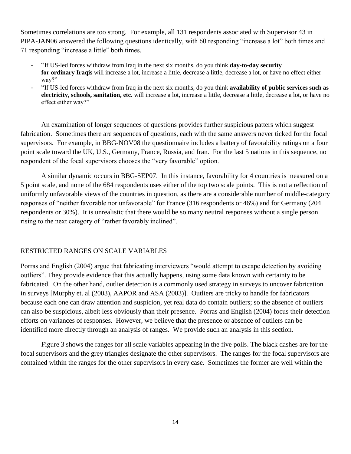Sometimes correlations are too strong. For example, all 131 respondents associated with Supervisor 43 in PIPA-JAN06 answered the following questions identically, with 60 responding "increase a lot" both times and 71 responding "increase a little" both times.

- "If US-led forces withdraw from Iraq in the next six months, do you think **day-to-day security for ordinary Iraqis** will increase a lot, increase a little, decrease a little, decrease a lot, or have no effect either way?"
- "If US-led forces withdraw from Iraq in the next six months, do you think **availability of public services such as electricity, schools, sanitation, etc.** will increase a lot, increase a little, decrease a little, decrease a lot, or have no effect either way?"

An examination of longer sequences of questions provides further suspicious patters which suggest fabrication. Sometimes there are sequences of questions, each with the same answers never ticked for the focal supervisors. For example, in BBG-NOV08 the questionnaire includes a battery of favorability ratings on a four point scale toward the UK, U.S., Germany, France, Russia, and Iran. For the last 5 nations in this sequence, no respondent of the focal supervisors chooses the "very favorable" option.

A similar dynamic occurs in BBG-SEP07. In this instance, favorability for 4 countries is measured on a 5 point scale, and none of the 684 respondents uses either of the top two scale points. This is not a reflection of uniformly unfavorable views of the countries in question, as there are a considerable number of middle-category responses of "neither favorable nor unfavorable" for France (316 respondents or 46%) and for Germany (204 respondents or 30%). It is unrealistic that there would be so many neutral responses without a single person rising to the next category of "rather favorably inclined".

#### RESTRICTED RANGES ON SCALE VARIABLES

Porras and English (2004) argue that fabricating interviewers "would attempt to escape detection by avoiding outliers". They provide evidence that this actually happens, using some data known with certainty to be fabricated. On the other hand, outlier detection is a commonly used strategy in surveys to uncover fabrication in surveys [Murphy et. al (2003), AAPOR and ASA (2003)]. Outliers are tricky to handle for fabricators because each one can draw attention and suspicion, yet real data do contain outliers; so the absence of outliers can also be suspicious, albeit less obviously than their presence. Porras and English (2004) focus their detection efforts on variances of responses. However, we believe that the presence or absence of outliers can be identified more directly through an analysis of ranges. We provide such an analysis in this section.

Figure 3 shows the ranges for all scale variables appearing in the five polls. The black dashes are for the focal supervisors and the grey triangles designate the other supervisors. The ranges for the focal supervisors are contained within the ranges for the other supervisors in every case. Sometimes the former are well within the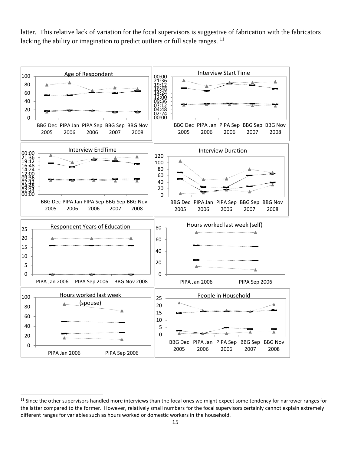latter. This relative lack of variation for the focal supervisors is suggestive of fabrication with the fabricators lacking the ability or imagination to predict outliers or full scale ranges.



 $\overline{\phantom{a}}$ 

<sup>&</sup>lt;sup>11</sup> Since the other supervisors handled more interviews than the focal ones we might expect some tendency for narrower ranges for the latter compared to the former. However, relatively small numbers for the focal supervisors certainly cannot explain extremely different ranges for variables such as hours worked or domestic workers in the household.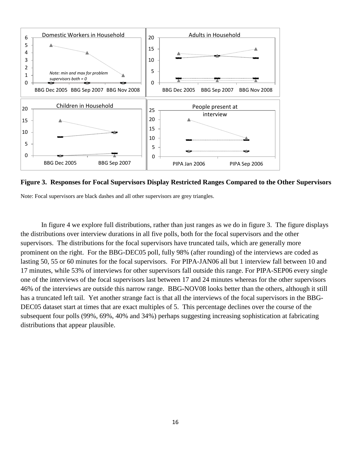

**Figure 3. Responses for Focal Supervisors Display Restricted Ranges Compared to the Other Supervisors**

Note: Focal supervisors are black dashes and all other supervisors are grey triangles.

In figure 4 we explore full distributions, rather than just ranges as we do in figure 3. The figure displays the distributions over interview durations in all five polls, both for the focal supervisors and the other supervisors. The distributions for the focal supervisors have truncated tails, which are generally more prominent on the right. For the BBG-DEC05 poll, fully 98% (after rounding) of the interviews are coded as lasting 50, 55 or 60 minutes for the focal supervisors. For PIPA-JAN06 all but 1 interview fall between 10 and 17 minutes, while 53% of interviews for other supervisors fall outside this range. For PIPA-SEP06 every single one of the interviews of the focal supervisors last between 17 and 24 minutes whereas for the other supervisors 46% of the interviews are outside this narrow range. BBG-NOV08 looks better than the others, although it still has a truncated left tail. Yet another strange fact is that all the interviews of the focal supervisors in the BBG-DEC05 dataset start at times that are exact multiples of 5. This percentage declines over the course of the subsequent four polls (99%, 69%, 40% and 34%) perhaps suggesting increasing sophistication at fabricating distributions that appear plausible.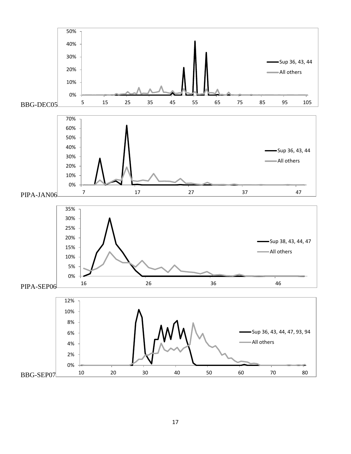

17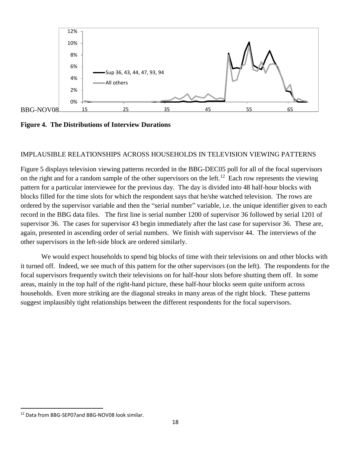

**Figure 4. The Distributions of Interview Durations** 

#### IMPLAUSIBLE RELATIONSHIPS ACROSS HOUSEHOLDS IN TELEVISION VIEWING PATTERNS

Figure 5 displays television viewing patterns recorded in the BBG-DEC05 poll for all of the focal supervisors on the right and for a random sample of the other supervisors on the left.<sup>12</sup> Each row represents the viewing pattern for a particular interviewee for the previous day. The day is divided into 48 half-hour blocks with blocks filled for the time slots for which the respondent says that he/she watched television. The rows are ordered by the supervisor variable and then the "serial number" variable, i.e. the unique identifier given to each record in the BBG data files. The first line is serial number 1200 of supervisor 36 followed by serial 1201 of supervisor 36. The cases for supervisor 43 begin immediately after the last case for supervisor 36. These are, again, presented in ascending order of serial numbers. We finish with supervisor 44. The interviews of the other supervisors in the left-side block are ordered similarly.

We would expect households to spend big blocks of time with their televisions on and other blocks with it turned off. Indeed, we see much of this pattern for the other supervisors (on the left). The respondents for the focal supervisors frequently switch their televisions on for half-hour slots before shutting them off. In some areas, mainly in the top half of the right-hand picture, these half-hour blocks seem quite uniform across households. Even more striking are the diagonal streaks in many areas of the right block. These patterns suggest implausibly tight relationships between the different respondents for the focal supervisors.

 $\overline{\phantom{a}}$ 

<sup>&</sup>lt;sup>12</sup> Data from BBG-SEP07and BBG-NOV08 look similar.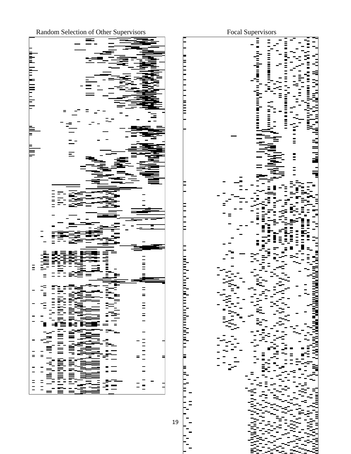

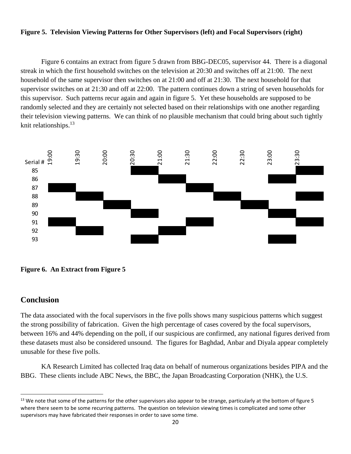#### **Figure 5. Television Viewing Patterns for Other Supervisors (left) and Focal Supervisors (right)**

Figure 6 contains an extract from figure 5 drawn from BBG-DEC05, supervisor 44. There is a diagonal streak in which the first household switches on the television at 20:30 and switches off at 21:00. The next household of the same supervisor then switches on at 21:00 and off at 21:30. The next household for that supervisor switches on at 21:30 and off at 22:00. The pattern continues down a string of seven households for this supervisor. Such patterns recur again and again in figure 5. Yet these households are supposed to be randomly selected and they are certainly not selected based on their relationships with one another regarding their television viewing patterns. We can think of no plausible mechanism that could bring about such tightly knit relationships.<sup>13</sup>



**Figure 6. An Extract from Figure 5**

# **Conclusion**

 $\overline{\phantom{a}}$ 

The data associated with the focal supervisors in the five polls shows many suspicious patterns which suggest the strong possibility of fabrication. Given the high percentage of cases covered by the focal supervisors, between 16% and 44% depending on the poll, if our suspicious are confirmed, any national figures derived from these datasets must also be considered unsound. The figures for Baghdad, Anbar and Diyala appear completely unusable for these five polls.

KA Research Limited has collected Iraq data on behalf of numerous organizations besides PIPA and the BBG. These clients include ABC News, the BBC, the Japan Broadcasting Corporation (NHK), the U.S.

 $13$  We note that some of the patterns for the other supervisors also appear to be strange, particularly at the bottom of figure 5 where there seem to be some recurring patterns. The question on television viewing times is complicated and some other supervisors may have fabricated their responses in order to save some time.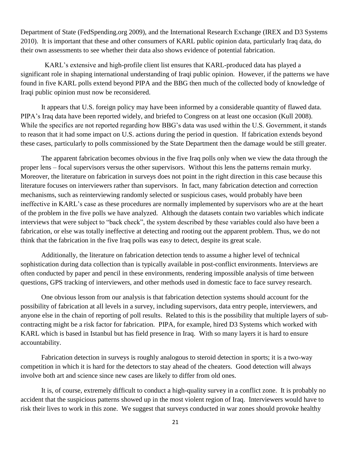Department of State (FedSpending.org 2009), and the International Research Exchange (IREX and D3 Systems 2010). It is important that these and other consumers of KARL public opinion data, particularly Iraq data, do their own assessments to see whether their data also shows evidence of potential fabrication.

 KARL's extensive and high-profile client list ensures that KARL-produced data has played a significant role in shaping international understanding of Iraqi public opinion. However, if the patterns we have found in five KARL polls extend beyond PIPA and the BBG then much of the collected body of knowledge of Iraqi public opinion must now be reconsidered.

It appears that U.S. foreign policy may have been informed by a considerable quantity of flawed data. PIPA's Iraq data have been reported widely, and briefed to Congress on at least one occasion (Kull 2008). While the specifics are not reported regarding how BBG's data was used within the U.S. Government, it stands to reason that it had some impact on U.S. actions during the period in question. If fabrication extends beyond these cases, particularly to polls commissioned by the State Department then the damage would be still greater.

The apparent fabrication becomes obvious in the five Iraq polls only when we view the data through the proper lens – focal supervisors versus the other supervisors. Without this lens the patterns remain murky. Moreover, the literature on fabrication in surveys does not point in the right direction in this case because this literature focuses on interviewers rather than supervisors. In fact, many fabrication detection and correction mechanisms, such as reinterviewing randomly selected or suspicious cases, would probably have been ineffective in KARL's case as these procedures are normally implemented by supervisors who are at the heart of the problem in the five polls we have analyzed. Although the datasets contain two variables which indicate interviews that were subject to "back check", the system described by these variables could also have been a fabrication, or else was totally ineffective at detecting and rooting out the apparent problem. Thus, we do not think that the fabrication in the five Iraq polls was easy to detect, despite its great scale.

Additionally, the literature on fabrication detection tends to assume a higher level of technical sophistication during data collection than is typically available in post-conflict environments. Interviews are often conducted by paper and pencil in these environments, rendering impossible analysis of time between questions, GPS tracking of interviewers, and other methods used in domestic face to face survey research.

One obvious lesson from our analysis is that fabrication detection systems should account for the possibility of fabrication at all levels in a survey, including supervisors, data entry people, interviewers, and anyone else in the chain of reporting of poll results. Related to this is the possibility that multiple layers of subcontracting might be a risk factor for fabrication. PIPA, for example, hired D3 Systems which worked with KARL which is based in Istanbul but has field presence in Iraq. With so many layers it is hard to ensure accountability.

Fabrication detection in surveys is roughly analogous to steroid detection in sports; it is a two-way competition in which it is hard for the detectors to stay ahead of the cheaters. Good detection will always involve both art and science since new cases are likely to differ from old ones.

It is, of course, extremely difficult to conduct a high-quality survey in a conflict zone. It is probably no accident that the suspicious patterns showed up in the most violent region of Iraq. Interviewers would have to risk their lives to work in this zone. We suggest that surveys conducted in war zones should provoke healthy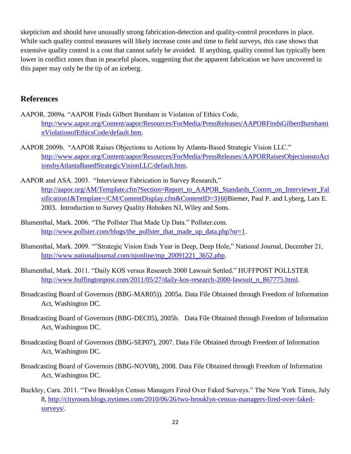skepticism and should have unusually strong fabrication-detection and quality-control procedures in place. While such quality control measures will likely increase costs and time to field surveys, this case shows that extensive quality control is a cost that cannot safely be avoided. If anything, quality control has typically been lower in conflict zones than in peaceful places, suggesting that the apparent fabrication we have uncovered in this paper may only be the tip of an iceberg.

# **References**

- AAPOR. 2009a. "AAPOR Finds Gilbert Burnham in Violation of Ethics Code, [http://www.aapor.org/Content/aapor/Resources/ForMedia/PressReleases/AAPORFindsGilbertBurnhami](http://www.aapor.org/Content/aapor/Resources/ForMedia/PressReleases/AAPORFindsGilbertBurnhaminViolationofEthicsCode/default.htm) [nViolationofEthicsCode/default.htm.](http://www.aapor.org/Content/aapor/Resources/ForMedia/PressReleases/AAPORFindsGilbertBurnhaminViolationofEthicsCode/default.htm)
- AAPOR 2009b. "AAPOR Raises Objections to Actions by Atlanta-Based Strategic Vision LLC." [http://www.aapor.org/Content/aapor/Resources/ForMedia/PressReleases/AAPORRaisesObjectionstoAct](http://www.aapor.org/Content/aapor/Resources/ForMedia/PressReleases/AAPORRaisesObjectionstoActionsbyAtlantaBasedStrategicVisionLLC/default.htm) [ionsbyAtlantaBasedStrategicVisionLLC/default.htm.](http://www.aapor.org/Content/aapor/Resources/ForMedia/PressReleases/AAPORRaisesObjectionstoActionsbyAtlantaBasedStrategicVisionLLC/default.htm)
- AAPOR and ASA. 2003. "Interviewer Fabrication in Survey Research," [http://aapor.org/AM/Template.cfm?Section=Report\\_to\\_AAPOR\\_Standards\\_Comm\\_on\\_Interviewer\\_Fal](http://aapor.org/AM/Template.cfm?Section=Report_to_AAPOR_Standards_Comm_on_Interviewer_Falsification1&Template=/CM/ContentDisplay.cfm&ContentID=3160) [sification1&Template=/CM/ContentDisplay.cfm&ContentID=3160B](http://aapor.org/AM/Template.cfm?Section=Report_to_AAPOR_Standards_Comm_on_Interviewer_Falsification1&Template=/CM/ContentDisplay.cfm&ContentID=3160)iemer, Paul P. and Lyberg, Lars E. 2003. Introduction to Survey Quality Hoboken NJ, Wiley and Sons.
- Blumenthal, Mark. 2006. "The Pollster That Made Up Data." Pollster.com. [http://www.pollster.com/blogs/the\\_pollster\\_that\\_made\\_up\\_data.php?nr=1.](http://www.pollster.com/blogs/the_pollster_that_made_up_data.php?nr=1)
- Blumenthal, Mark. 2009. ""Strategic Vision Ends Year in Deep, Deep Hole," National Journal, December 21, [http://www.nationaljournal.com/njonline/mp\\_20091221\\_3652.php.](http://www.nationaljournal.com/njonline/mp_20091221_3652.php)
- Blumenthal, Mark. 2011. "Daily KOS versus Research 2000 Lawsuit Settled." HUFFPOST POLLSTER [http://www.huffingtonpost.com/2011/05/27/daily-kos-research-2000-lawsuit\\_n\\_867775.html.](http://www.huffingtonpost.com/2011/05/27/daily-kos-research-2000-lawsuit_n_867775.html)
- Broadcasting Board of Governors (BBG-MAR05)). 2005a. Data File Obtained through Freedom of Information Act, Washington DC.
- Broadcasting Board of Governors (BBG-DEC05), 2005b. Data File Obtained through Freedom of Information Act, Washington DC.
- Broadcasting Board of Governors (BBG-SEP07), 2007. Data File Obtained through Freedom of Information Act, Washington DC.
- Broadcasting Board of Governors (BBG-NOV08), 2008. Data File Obtained through Freedom of Information Act, Washington DC.
- Buckley, Cara. 2011. "Two Brooklyn Census Managers Fired Over Faked Surveys." The New York Times, July 8, [http://cityroom.blogs.nytimes.com/2010/06/26/two-brooklyn-census-managers-fired-over-faked](http://cityroom.blogs.nytimes.com/2010/06/26/two-brooklyn-census-managers-fired-over-faked-surveys/)[surveys/.](http://cityroom.blogs.nytimes.com/2010/06/26/two-brooklyn-census-managers-fired-over-faked-surveys/)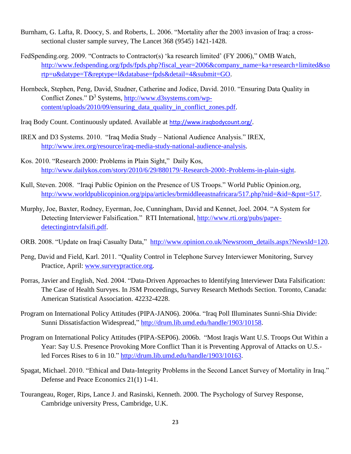- Burnham, G. Lafta, R. Doocy, S. and Roberts, L. 2006. "Mortality after the 2003 invasion of Iraq: a crosssectional cluster sample survey, The Lancet 368 (9545) 1421-1428.
- FedSpending.org. 2009. "Contracts to Contractor(s) 'ka research limited' (FY 2006)," OMB Watch, [http://www.fedspending.org/fpds/fpds.php?fiscal\\_year=2006&company\\_name=ka+research+limited&so](http://www.fedspending.org/fpds/fpds.php?fiscal_year=2006&company_name=ka+research+limited&sortp=u&datype=T&reptype=l&database=fpds&detail=4&submit=GO) [rtp=u&datype=T&reptype=l&database=fpds&detail=4&submit=GO.](http://www.fedspending.org/fpds/fpds.php?fiscal_year=2006&company_name=ka+research+limited&sortp=u&datype=T&reptype=l&database=fpds&detail=4&submit=GO)
- Hornbeck, Stephen, Peng, David, Studner, Catherine and Jodice, David. 2010. "Ensuring Data Quality in Conflict Zones."  $D^3$  Systems, [http://www.d3systems.com/wp](http://www.d3systems.com/wp-content/uploads/2010/09/ensuring_data_quality_in_conflict_zones.pdf)content/uploads/2010/09/ensuring data quality in conflict zones.pdf.
- Iraq Body Count. Continuously updated. Available at <http://www.iraqbodycount.org/>.
- IREX and D3 Systems. 2010. "Iraq Media Study National Audience Analysis." IREX, [http://www.irex.org/resource/iraq-media-study-national-audience-analysis.](http://www.irex.org/resource/iraq-media-study-national-audience-analysis)
- Kos. 2010. "Research 2000: Problems in Plain Sight," Daily Kos, [http://www.dailykos.com/story/2010/6/29/880179/-Research-2000:-Problems-in-plain-sight.](http://www.dailykos.com/story/2010/6/29/880179/-Research-2000:-Problems-in-plain-sight)
- Kull, Steven. 2008. "Iraqi Public Opinion on the Presence of US Troops." World Public Opinion.org, [http://www.worldpublicopinion.org/pipa/articles/brmiddleeastnafricara/517.php?nid=&id=&pnt=517.](http://www.worldpublicopinion.org/pipa/articles/brmiddleeastnafricara/517.php?nid=&id=&pnt=517)
- Murphy, Joe, Baxter, Rodney, Eyerman, Joe, Cunningham, David and Kennet, Joel. 2004. "A System for Detecting Interviewer Falsification." RTI International, [http://www.rti.org/pubs/paper](http://www.rti.org/pubs/paper-detectingintrvfalsifi.pdf)[detectingintrvfalsifi.pdf.](http://www.rti.org/pubs/paper-detectingintrvfalsifi.pdf)
- ORB. 2008. "Update on Iraqi Casualty Data," [http://www.opinion.co.uk/Newsroom\\_details.aspx?NewsId=120.](http://www.opinion.co.uk/Newsroom_details.aspx?NewsId=120)
- Peng, David and Field, Karl. 2011. "Quality Control in Telephone Survey Interviewer Monitoring, Survey Practice, April: [www.surveypractice.org.](http://www.surveypractice.org/)
- Porras, Javier and English, Ned. 2004. "Data-Driven Approaches to Identifying Interviewer Data Falsification: The Case of Health Survyes. In JSM Proceedings, Survey Research Methods Section. Toronto, Canada: American Statistical Association. 42232-4228.
- Program on International Policy Attitudes (PIPA-JAN06). 2006a. "Iraq Poll Illuminates Sunni-Shia Divide: Sunni Dissatisfaction Widespread," [http://drum.lib.umd.edu/handle/1903/10158.](http://drum.lib.umd.edu/handle/1903/10158)
- Program on International Policy Attitudes (PIPA-SEP06). 2006b. "Most Iraqis Want U.S. Troops Out Within a Year: Say U.S. Presence Provoking More Conflict Than it is Preventing Approval of Attacks on U.S. led Forces Rises to 6 in 10." [http://drum.lib.umd.edu/handle/1903/10163.](http://drum.lib.umd.edu/handle/1903/10163)
- Spagat, Michael. 2010. "Ethical and Data-Integrity Problems in the Second Lancet Survey of Mortality in Iraq." Defense and Peace Economics 21(1) 1-41.
- Tourangeau, Roger, Rips, Lance J. and Rasinski, Kenneth. 2000. The Psychology of Survey Response, Cambridge university Press, Cambridge, U.K.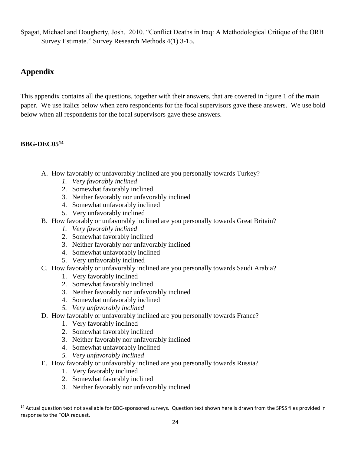Spagat, Michael and Dougherty, Josh. 2010. "Conflict Deaths in Iraq: A Methodological Critique of the ORB Survey Estimate." Survey Research Methods 4(1) 3-15.

# **Appendix**

This appendix contains all the questions, together with their answers, that are covered in figure 1 of the main paper. We use italics below when zero respondents for the focal supervisors gave these answers. We use bold below when all respondents for the focal supervisors gave these answers.

# **BBG-DEC05<sup>14</sup>**

 $\overline{a}$ 

- A. How favorably or unfavorably inclined are you personally towards Turkey?
	- *1. Very favorably inclined*
	- 2. Somewhat favorably inclined
	- 3. Neither favorably nor unfavorably inclined
	- 4. Somewhat unfavorably inclined
	- 5. Very unfavorably inclined
- B. How favorably or unfavorably inclined are you personally towards Great Britain?
	- *1. Very favorably inclined*
	- 2. Somewhat favorably inclined
	- 3. Neither favorably nor unfavorably inclined
	- 4. Somewhat unfavorably inclined
	- 5. Very unfavorably inclined
- C. How favorably or unfavorably inclined are you personally towards Saudi Arabia?
	- 1. Very favorably inclined
	- 2. Somewhat favorably inclined
	- 3. Neither favorably nor unfavorably inclined
	- 4. Somewhat unfavorably inclined
	- *5. Very unfavorably inclined*
- D. How favorably or unfavorably inclined are you personally towards France?
	- 1. Very favorably inclined
	- 2. Somewhat favorably inclined
	- 3. Neither favorably nor unfavorably inclined
	- 4. Somewhat unfavorably inclined
	- *5. Very unfavorably inclined*
- E. How favorably or unfavorably inclined are you personally towards Russia?
	- 1. Very favorably inclined
	- 2. Somewhat favorably inclined
	- 3. Neither favorably nor unfavorably inclined

<sup>&</sup>lt;sup>14</sup> Actual question text not available for BBG-sponsored surveys. Question text shown here is drawn from the SPSS files provided in response to the FOIA request.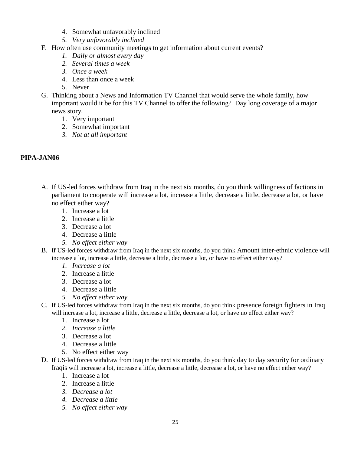- 4. Somewhat unfavorably inclined
- *5. Very unfavorably inclined*
- F. How often use community meetings to get information about current events?
	- *1. Daily or almost every day*
	- *2. Several times a week*
	- *3. Once a week*
	- 4. Less than once a week
	- 5. Never
- G. Thinking about a News and Information TV Channel that would serve the whole family, how important would it be for this TV Channel to offer the following? Day long coverage of a major news story.
	- 1. Very important
	- 2. Somewhat important
	- *3. Not at all important*

# **PIPA-JAN06**

- A. If US-led forces withdraw from Iraq in the next six months, do you think willingness of factions in parliament to cooperate will increase a lot, increase a little, decrease a little, decrease a lot, or have no effect either way?
	- 1. Increase a lot
	- 2. Increase a little
	- 3. Decrease a lot
	- 4. Decrease a little
	- *5. No effect either way*
- B. If US-led forces withdraw from Iraq in the next six months, do you think Amount inter-ethnic violence will increase a lot, increase a little, decrease a little, decrease a lot, or have no effect either way?
	- *1. Increase a lot*
	- 2. Increase a little
	- 3. Decrease a lot
	- 4. Decrease a little
	- *5. No effect either way*
- C. If US-led forces withdraw from Iraq in the next six months, do you think presence foreign fighters in Iraq will increase a lot, increase a little, decrease a little, decrease a lot, or have no effect either way?
	- 1. Increase a lot
	- *2. Increase a little*
	- 3. Decrease a lot
	- 4. Decrease a little
	- 5. No effect either way
- D. If US-led forces withdraw from Iraq in the next six months, do you think day to day security for ordinary Iraqis will increase a lot, increase a little, decrease a little, decrease a lot, or have no effect either way?
	- 1. Increase a lot
	- 2. Increase a little
	- *3. Decrease a lot*
	- *4. Decrease a little*
	- *5. No effect either way*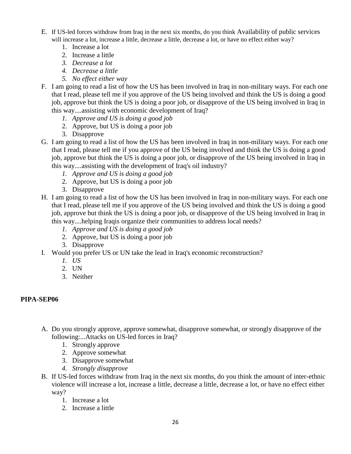- E. If US-led forces withdraw from Iraq in the next six months, do you think Availability of public services will increase a lot, increase a little, decrease a little, decrease a lot, or have no effect either way?
	- 1. Increase a lot
	- 2. Increase a little
	- *3. Decrease a lot*
	- *4. Decrease a little*
	- *5. No effect either way*
- F. I am going to read a list of how the US has been involved in Iraq in non-military ways. For each one that I read, please tell me if you approve of the US being involved and think the US is doing a good job, approve but think the US is doing a poor job, or disapprove of the US being involved in Iraq in this way....assisting with economic development of Iraq?
	- *1. Approve and US is doing a good job*
	- 2. Approve, but US is doing a poor job
	- 3. Disapprove
- G. I am going to read a list of how the US has been involved in Iraq in non-military ways. For each one that I read, please tell me if you approve of the US being involved and think the US is doing a good job, approve but think the US is doing a poor job, or disapprove of the US being involved in Iraq in this way....assisting with the development of Iraq's oil industry?
	- *1. Approve and US is doing a good job*
	- 2. Approve, but US is doing a poor job
	- 3. Disapprove
- H. I am going to read a list of how the US has been involved in Iraq in non-military ways. For each one that I read, please tell me if you approve of the US being involved and think the US is doing a good job, approve but think the US is doing a poor job, or disapprove of the US being involved in Iraq in this way....helping Iraqis organize their communities to address local needs?
	- *1. Approve and US is doing a good job*
	- 2. Approve, but US is doing a poor job
	- 3. Disapprove
- I. Would you prefer US or UN take the lead in Iraq's economic reconstruction?
	- *1. US*
	- 2. UN
	- 3. Neither

# **PIPA-SEP06**

- A. Do you strongly approve, approve somewhat, disapprove somewhat, or strongly disapprove of the following:...Attacks on US-led forces in Iraq?
	- 1. Strongly approve
	- 2. Approve somewhat
	- 3. Disapprove somewhat
	- *4. Strongly disapprove*
- B. If US-led forces withdraw from Iraq in the next six months, do you think the amount of inter-ethnic violence will increase a lot, increase a little, decrease a little, decrease a lot, or have no effect either way?
	- 1. Increase a lot
	- 2. Increase a little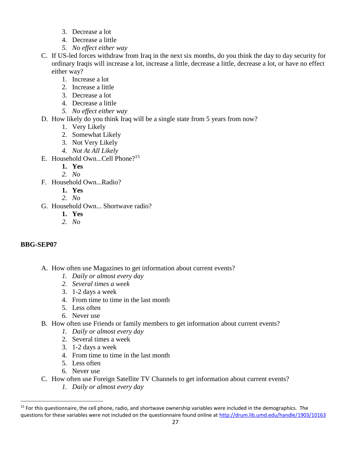- 3. Decrease a lot
- 4. Decrease a little
- *5. No effect either way*
- C. If US-led forces withdraw from Iraq in the next six months, do you think the day to day security for ordinary Iraqis will increase a lot, increase a little, decrease a little, decrease a lot, or have no effect either way?
	- 1. Increase a lot
	- 2. Increase a little
	- 3. Decrease a lot
	- 4. Decrease a little
	- *5. No effect either way*
- D. How likely do you think Iraq will be a single state from 5 years from now?
	- 1. Very Likely
	- 2. Somewhat Likely
	- 3. Not Very Likely
	- *4. Not At All Likely*
- E. Household Own...Cell Phone?<sup>15</sup>
	- **1. Yes**
	- *2. No*
- F. Household Own...Radio?
	- **1. Yes**
	- *2. No*
- G. Household Own... Shortwave radio?
	- **1. Yes**
	- *2. No*

# **BBG-SEP07**

 $\overline{a}$ 

- A. How often use Magazines to get information about current events?
	- *1. Daily or almost every day*
	- *2. Several times a week*
	- 3. 1-2 days a week
	- 4. From time to time in the last month
	- 5. Less often
	- 6. Never use
- B. How often use Friends or family members to get information about current events?
	- *1. Daily or almost every day*
	- 2. Several times a week
	- 3. 1-2 days a week
	- 4. From time to time in the last month
	- 5. Less often
	- 6. Never use
- C. How often use Foreign Satellite TV Channels to get information about current events?
	- *1. Daily or almost every day*

<sup>&</sup>lt;sup>15</sup> For this questionnaire, the cell phone, radio, and shortwave ownership variables were included in the demographics. The questions for these variables were not included on the questionnaire found online at<http://drum.lib.umd.edu/handle/1903/10163>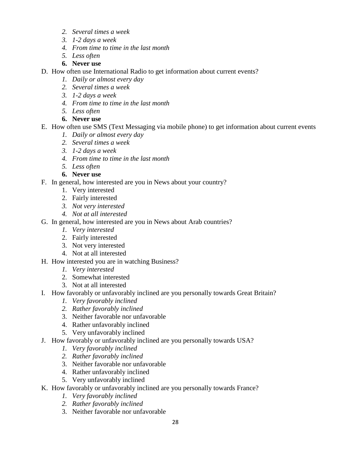- *2. Several times a week*
- *3. 1-2 days a week*
- *4. From time to time in the last month*
- *5. Less often*
- **6. Never use**
- D. How often use International Radio to get information about current events?
	- *1. Daily or almost every day*
	- *2. Several times a week*
	- *3. 1-2 days a week*
	- *4. From time to time in the last month*
	- *5. Less often*
	- **6. Never use**
- E. How often use SMS (Text Messaging via mobile phone) to get information about current events
	- *1. Daily or almost every day*
	- *2. Several times a week*
	- *3. 1-2 days a week*
	- *4. From time to time in the last month*
	- *5. Less often*
	- **6. Never use**
- F. In general, how interested are you in News about your country?
	- 1. Very interested
	- 2. Fairly interested
	- *3. Not very interested*
	- *4. Not at all interested*
- G. In general, how interested are you in News about Arab countries?
	- *1. Very interested*
	- 2. Fairly interested
	- 3. Not very interested
	- 4. Not at all interested
- H. How interested you are in watching Business?
	- *1. Very interested*
	- 2. Somewhat interested
	- 3. Not at all interested
- I. How favorably or unfavorably inclined are you personally towards Great Britain?
	- *1. Very favorably inclined*
	- *2. Rather favorably inclined*
	- 3. Neither favorable nor unfavorable
	- 4. Rather unfavorably inclined
	- 5. Very unfavorably inclined
- J. How favorably or unfavorably inclined are you personally towards USA?
	- *1. Very favorably inclined*
	- *2. Rather favorably inclined*
	- 3. Neither favorable nor unfavorable
	- 4. Rather unfavorably inclined
	- 5. Very unfavorably inclined
- K. How favorably or unfavorably inclined are you personally towards France?
	- *1. Very favorably inclined*
	- *2. Rather favorably inclined*
	- 3. Neither favorable nor unfavorable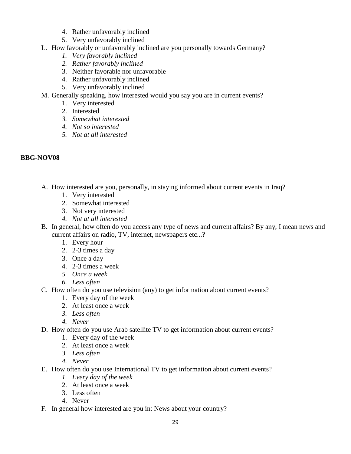- 4. Rather unfavorably inclined
- 5. Very unfavorably inclined
- L. How favorably or unfavorably inclined are you personally towards Germany?
	- *1. Very favorably inclined*
	- *2. Rather favorably inclined*
	- 3. Neither favorable nor unfavorable
	- 4. Rather unfavorably inclined
	- 5. Very unfavorably inclined
- M. Generally speaking, how interested would you say you are in current events?
	- 1. Very interested
	- 2. Interested
	- *3. Somewhat interested*
	- *4. Not so interested*
	- *5. Not at all interested*

# **BBG-NOV08**

- A. How interested are you, personally, in staying informed about current events in Iraq?
	- 1. Very interested
	- 2. Somewhat interested
	- 3. Not very interested
	- *4. Not at all interested*
- B. In general, how often do you access any type of news and current affairs? By any, I mean news and current affairs on radio, TV, internet, newspapers etc...?
	- 1. Every hour
	- 2. 2-3 times a day
	- 3. Once a day
	- 4. 2-3 times a week
	- *5. Once a week*
	- *6. Less often*
- C. How often do you use television (any) to get information about current events?
	- 1. Every day of the week
	- 2. At least once a week
	- *3. Less often*
	- *4. Never*
- D. How often do you use Arab satellite TV to get information about current events?
	- 1. Every day of the week
	- 2. At least once a week
	- *3. Less often*
	- *4. Never*
- E. How often do you use International TV to get information about current events?
	- *1. Every day of the week*
	- 2. At least once a week
	- 3. Less often
	- 4. Never
- F. In general how interested are you in: News about your country?